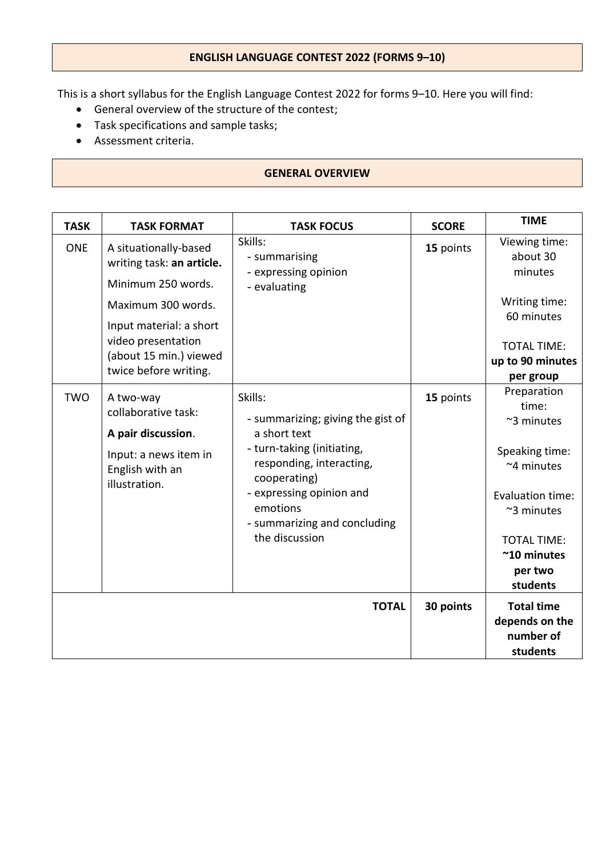# **ENGLISH LANGUAGE CONTEST 2022 (FORMS 9–10)**

This is a short syllabus for the English Language Contest 2022 for forms 9–10. Here you will find:

- General overview of the structure of the contest;
- Task specifications and sample tasks;
- Assessment criteria.

#### **GENERAL OVERVIEW**

| <b>TASK</b> | <b>TASK FORMAT</b>                                                                                                                                                                                 | <b>TASK FOCUS</b>                                                                                                                                                                                                                | <b>SCORE</b> | <b>TIME</b>                                                                                                                                                                       |
|-------------|----------------------------------------------------------------------------------------------------------------------------------------------------------------------------------------------------|----------------------------------------------------------------------------------------------------------------------------------------------------------------------------------------------------------------------------------|--------------|-----------------------------------------------------------------------------------------------------------------------------------------------------------------------------------|
| <b>ONE</b>  | A situationally-based<br>writing task: an article.<br>Minimum 250 words.<br>Maximum 300 words.<br>Input material: a short<br>video presentation<br>(about 15 min.) viewed<br>twice before writing. | Skills:<br>- summarising<br>- expressing opinion<br>- evaluating                                                                                                                                                                 | 15 points    | Viewing time:<br>about 30<br>minutes<br>Writing time:<br>60 minutes<br><b>TOTAL TIME:</b><br>up to 90 minutes<br>per group                                                        |
| <b>TWO</b>  | A two-way<br>collaborative task:<br>A pair discussion.<br>Input: a news item in<br>English with an<br>illustration.                                                                                | Skills:<br>- summarizing; giving the gist of<br>a short text<br>- turn-taking (initiating,<br>responding, interacting,<br>cooperating)<br>- expressing opinion and<br>emotions<br>- summarizing and concluding<br>the discussion | 15 points    | Preparation<br>time:<br>~3 minutes<br>Speaking time:<br>~4 minutes<br>Evaluation time:<br>$~\sim$ 3 minutes<br><b>TOTAL TIME:</b><br>$~^{\sim}$ 10 minutes<br>per two<br>students |
|             |                                                                                                                                                                                                    | <b>TOTAL</b>                                                                                                                                                                                                                     | 30 points    | <b>Total time</b><br>depends on the<br>number of<br>students                                                                                                                      |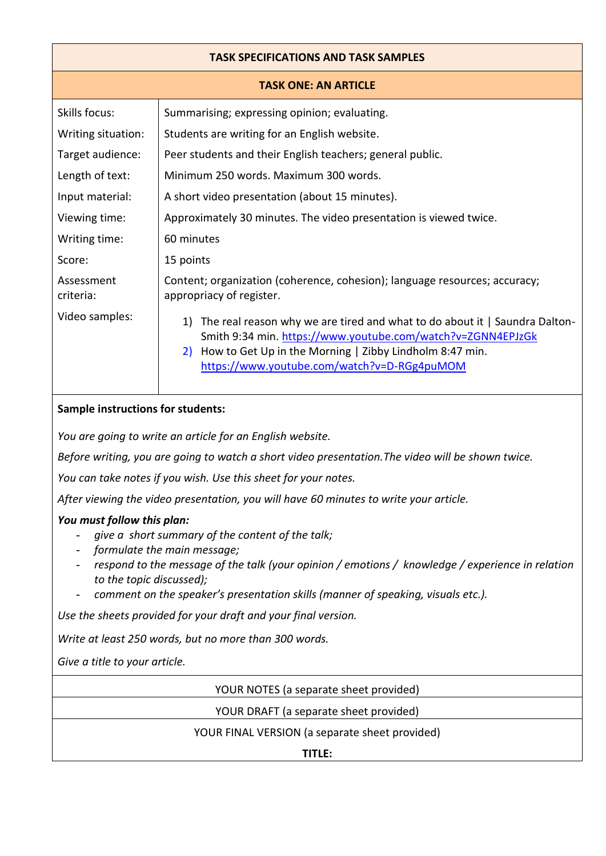# **TASK SPECIFICATIONS AND TASK SAMPLES**

|  |  | <b>TASK ONE: AN ARTICLE</b> |
|--|--|-----------------------------|
|--|--|-----------------------------|

| Skills focus:           | Summarising; expressing opinion; evaluating.                                                                                                                                                                                                                    |  |  |
|-------------------------|-----------------------------------------------------------------------------------------------------------------------------------------------------------------------------------------------------------------------------------------------------------------|--|--|
| Writing situation:      | Students are writing for an English website.                                                                                                                                                                                                                    |  |  |
| Target audience:        | Peer students and their English teachers; general public.                                                                                                                                                                                                       |  |  |
| Length of text:         | Minimum 250 words. Maximum 300 words.                                                                                                                                                                                                                           |  |  |
| Input material:         | A short video presentation (about 15 minutes).                                                                                                                                                                                                                  |  |  |
| Viewing time:           | Approximately 30 minutes. The video presentation is viewed twice.                                                                                                                                                                                               |  |  |
| Writing time:           | 60 minutes                                                                                                                                                                                                                                                      |  |  |
| Score:                  | 15 points                                                                                                                                                                                                                                                       |  |  |
| Assessment<br>criteria: | Content; organization (coherence, cohesion); language resources; accuracy;<br>appropriacy of register.                                                                                                                                                          |  |  |
| Video samples:          | The real reason why we are tired and what to do about it   Saundra Dalton-<br>1)<br>Smith 9:34 min. https://www.youtube.com/watch?v=ZGNN4EPJzGk<br>How to Get Up in the Morning   Zibby Lindholm 8:47 min.<br>2)<br>https://www.youtube.com/watch?v=D-RGg4puMOM |  |  |

### **Sample instructions for students:**

*You are going to write an article for an English website.*

*Before writing, you are going to watch a short video presentation.The video will be shown twice.* 

*You can take notes if you wish. Use this sheet for your notes.* 

*After viewing the video presentation, you will have 60 minutes to write your article.*

#### *You must follow this plan:*

- give a short summary of the content of the talk;
- *formulate the main message;*
- *respond to the message of the talk (your opinion / emotions / knowledge / experience in relation to the topic discussed);*
- *comment on the speaker's presentation skills (manner of speaking, visuals etc.).*

*Use the sheets provided for your draft and your final version.* 

*Write at least 250 words, but no more than 300 words.*

*Give a title to your article.*

YOUR NOTES (a separate sheet provided)

YOUR DRAFT (a separate sheet provided)

YOUR FINAL VERSION (a separate sheet provided)

**TITLE:**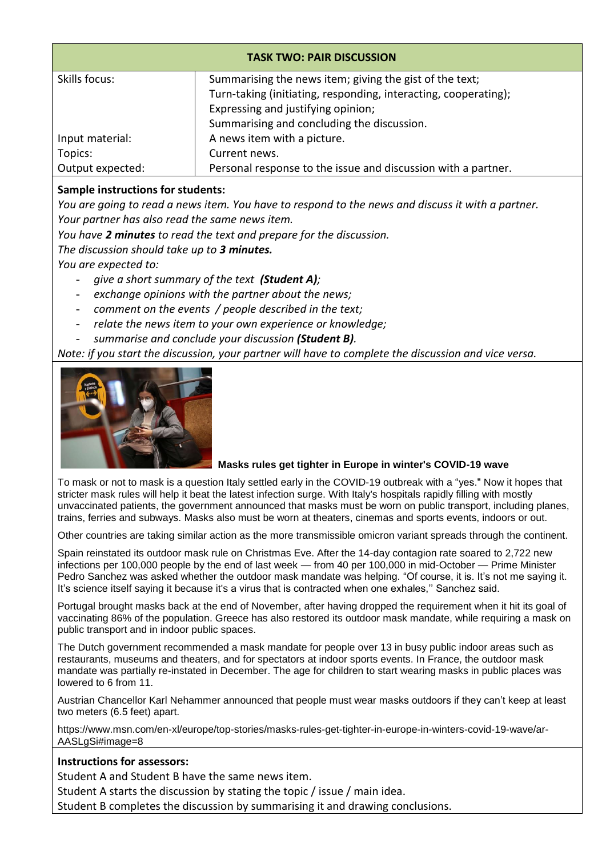| <b>TASK TWO: PAIR DISCUSSION</b> |                                                                 |  |  |
|----------------------------------|-----------------------------------------------------------------|--|--|
| Skills focus:                    | Summarising the news item; giving the gist of the text;         |  |  |
|                                  | Turn-taking (initiating, responding, interacting, cooperating); |  |  |
|                                  | Expressing and justifying opinion;                              |  |  |
|                                  | Summarising and concluding the discussion.                      |  |  |
| Input material:                  | A news item with a picture.                                     |  |  |
| Topics:                          | Current news.                                                   |  |  |
| Output expected:                 | Personal response to the issue and discussion with a partner.   |  |  |

## **Sample instructions for students:**

*You are going to read a news item. You have to respond to the news and discuss it with a partner. Your partner has also read the same news item.* 

*You have 2 minutes to read the text and prepare for the discussion.*

*The discussion should take up to 3 minutes.*

*You are expected to:*

- *give a short summary of the text (Student A);*
- *exchange opinions with the partner about the news;*
- *comment on the events / people described in the text;*
- *relate the news item to your own experience or knowledge;*
- *summarise and conclude your discussion (Student B).*

*Note: if you start the discussion, your partner will have to complete the discussion and vice versa.*



#### **Masks rules get tighter in Europe in winter's COVID-19 wave**

To mask or not to mask is a question Italy settled early in the COVID-19 outbreak with a "yes." Now it hopes that stricter mask rules will help it beat the latest infection surge. With Italy's hospitals rapidly filling with mostly unvaccinated patients, the government announced that masks must be worn on public transport, including planes, trains, ferries and subways. Masks also must be worn at theaters, cinemas and sports events, indoors or out.

Other countries are taking similar action as the more transmissible omicron variant spreads through the continent.

Spain reinstated its outdoor mask rule on Christmas Eve. After the 14-day contagion rate soared to 2,722 new infections per 100,000 people by the end of last week — from 40 per 100,000 in mid-October — Prime Minister Pedro Sanchez was asked whether the outdoor mask mandate was helping. "Of course, it is. It's not me saying it. It's science itself saying it because it's a virus that is contracted when one exhales,'' Sanchez said.

Portugal brought masks back at the end of November, after having dropped the requirement when it hit its goal of vaccinating 86% of the population. Greece has also restored its outdoor mask mandate, while requiring a mask on public transport and in indoor public spaces.

The Dutch government recommended a mask mandate for people over 13 in busy public indoor areas such as restaurants, museums and theaters, and for spectators at indoor sports events. In France, the outdoor mask mandate was partially re-instated in December. The age for children to start wearing masks in public places was lowered to 6 from 11.

Austrian Chancellor Karl Nehammer announced that people must wear masks outdoors if they can't keep at least two meters (6.5 feet) apart.

https://www.msn.com/en-xl/europe/top-stories/masks-rules-get-tighter-in-europe-in-winters-covid-19-wave/ar-AASLgSi#image=8

#### **Instructions for assessors:**

Student A and Student B have the same news item.

Student A starts the discussion by stating the topic / issue / main idea.

Student B completes the discussion by summarising it and drawing conclusions.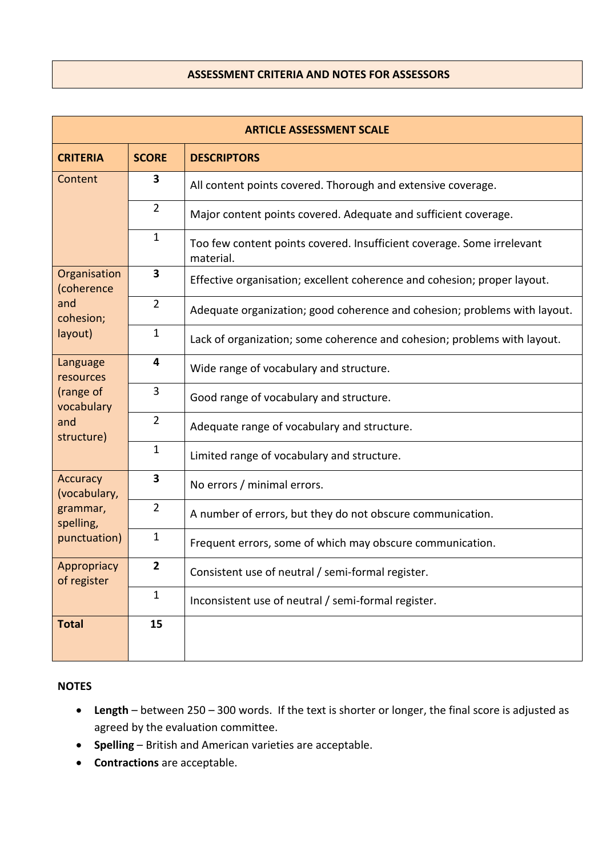# **ASSESSMENT CRITERIA AND NOTES FOR ASSESSORS**

| <b>ARTICLE ASSESSMENT SCALE</b> |                         |                                                                                     |  |  |
|---------------------------------|-------------------------|-------------------------------------------------------------------------------------|--|--|
| <b>CRITERIA</b>                 | <b>SCORE</b>            | <b>DESCRIPTORS</b>                                                                  |  |  |
| Content                         | 3                       | All content points covered. Thorough and extensive coverage.                        |  |  |
|                                 | $\overline{2}$          | Major content points covered. Adequate and sufficient coverage.                     |  |  |
|                                 | $\mathbf{1}$            | Too few content points covered. Insufficient coverage. Some irrelevant<br>material. |  |  |
| Organisation<br>(coherence      | $\mathbf{3}$            | Effective organisation; excellent coherence and cohesion; proper layout.            |  |  |
| and<br>cohesion;                | $\overline{2}$          | Adequate organization; good coherence and cohesion; problems with layout.           |  |  |
| layout)                         | 1                       | Lack of organization; some coherence and cohesion; problems with layout.            |  |  |
| Language<br>resources           | 4                       | Wide range of vocabulary and structure.                                             |  |  |
| (range of<br>vocabulary         | 3                       | Good range of vocabulary and structure.                                             |  |  |
| and<br>structure)               | $\overline{2}$          | Adequate range of vocabulary and structure.                                         |  |  |
|                                 | $\mathbf{1}$            | Limited range of vocabulary and structure.                                          |  |  |
| <b>Accuracy</b><br>(vocabulary, | 3                       | No errors / minimal errors.                                                         |  |  |
| grammar,<br>spelling,           | $\overline{2}$          | A number of errors, but they do not obscure communication.                          |  |  |
| punctuation)                    | $\mathbf{1}$            | Frequent errors, some of which may obscure communication.                           |  |  |
| Appropriacy<br>of register      | $\overline{\mathbf{2}}$ | Consistent use of neutral / semi-formal register.                                   |  |  |
|                                 | $\mathbf{1}$            | Inconsistent use of neutral / semi-formal register.                                 |  |  |
| <b>Total</b>                    | 15                      |                                                                                     |  |  |

### **NOTES**

- **Length** between 250 300 words. If the text is shorter or longer, the final score is adjusted as agreed by the evaluation committee.
- **Spelling**  British and American varieties are acceptable.
- **Contractions** are acceptable.